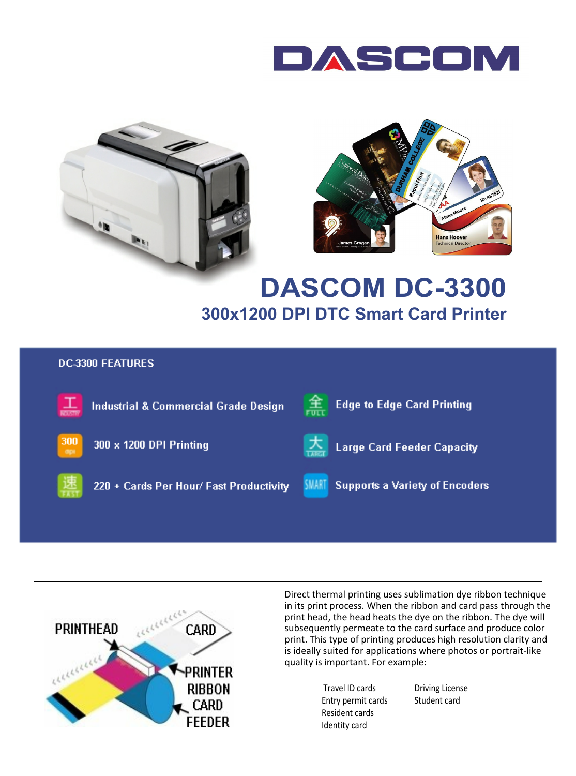





# **DASCOM DC-3300 300x1200 DPI DTC Smart Card Printer**

#### **DC-3300 FEATURES**





Direct thermal printing uses sublimation dye ribbon technique in its print process. When the ribbon and card pass through the print head, the head heats the dye on the ribbon. The dye will subsequently permeate to the card surface and produce color print. This type of printing produces high resolution clarity and is ideally suited for applications where photos or portrait-like quality is important. For example:

> Travel ID cards Entry permit cards Resident cards Identity card

Driving License Student card